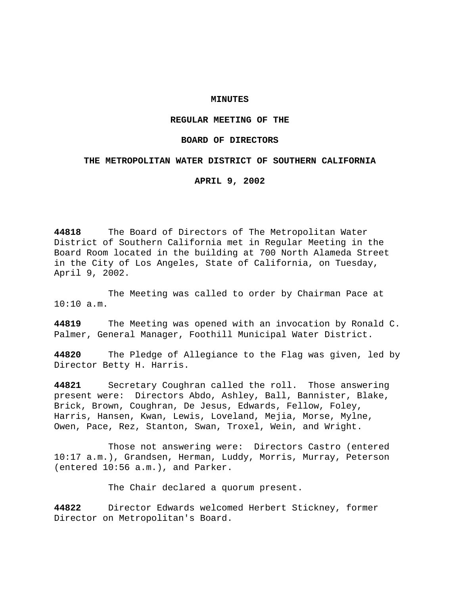## **MINUTES**

# **REGULAR MEETING OF THE**

### **BOARD OF DIRECTORS**

### **THE METROPOLITAN WATER DISTRICT OF SOUTHERN CALIFORNIA**

**APRIL 9, 2002**

**44818** The Board of Directors of The Metropolitan Water District of Southern California met in Regular Meeting in the Board Room located in the building at 700 North Alameda Street in the City of Los Angeles, State of California, on Tuesday, April 9, 2002.

The Meeting was called to order by Chairman Pace at 10:10 a.m.

**44819** The Meeting was opened with an invocation by Ronald C. Palmer, General Manager, Foothill Municipal Water District.

**44820** The Pledge of Allegiance to the Flag was given, led by Director Betty H. Harris.

**44821** Secretary Coughran called the roll. Those answering present were: Directors Abdo, Ashley, Ball, Bannister, Blake, Brick, Brown, Coughran, De Jesus, Edwards, Fellow, Foley, Harris, Hansen, Kwan, Lewis, Loveland, Mejia, Morse, Mylne, Owen, Pace, Rez, Stanton, Swan, Troxel, Wein, and Wright.

Those not answering were: Directors Castro (entered 10:17 a.m.), Grandsen, Herman, Luddy, Morris, Murray, Peterson (entered 10:56 a.m.), and Parker.

The Chair declared a quorum present.

**44822** Director Edwards welcomed Herbert Stickney, former Director on Metropolitan's Board.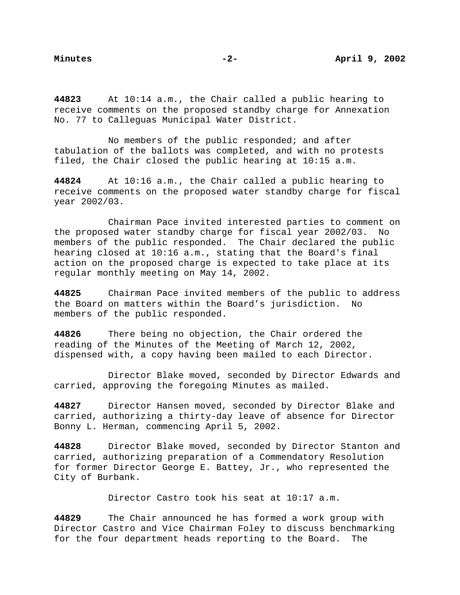**44823** At 10:14 a.m., the Chair called a public hearing to receive comments on the proposed standby charge for Annexation No. 77 to Calleguas Municipal Water District.

No members of the public responded; and after tabulation of the ballots was completed, and with no protests filed, the Chair closed the public hearing at 10:15 a.m.

**44824** At 10:16 a.m., the Chair called a public hearing to receive comments on the proposed water standby charge for fiscal year 2002/03.

Chairman Pace invited interested parties to comment on the proposed water standby charge for fiscal year 2002/03. No members of the public responded. The Chair declared the public hearing closed at 10:16 a.m., stating that the Board's final action on the proposed charge is expected to take place at its regular monthly meeting on May 14, 2002.

**44825** Chairman Pace invited members of the public to address the Board on matters within the Board's jurisdiction. No members of the public responded.

**44826** There being no objection, the Chair ordered the reading of the Minutes of the Meeting of March 12, 2002, dispensed with, a copy having been mailed to each Director.

Director Blake moved, seconded by Director Edwards and carried, approving the foregoing Minutes as mailed.

**44827** Director Hansen moved, seconded by Director Blake and carried, authorizing a thirty-day leave of absence for Director Bonny L. Herman, commencing April 5, 2002.

**44828** Director Blake moved, seconded by Director Stanton and carried, authorizing preparation of a Commendatory Resolution for former Director George E. Battey, Jr., who represented the City of Burbank.

Director Castro took his seat at 10:17 a.m.

**44829** The Chair announced he has formed a work group with Director Castro and Vice Chairman Foley to discuss benchmarking for the four department heads reporting to the Board. The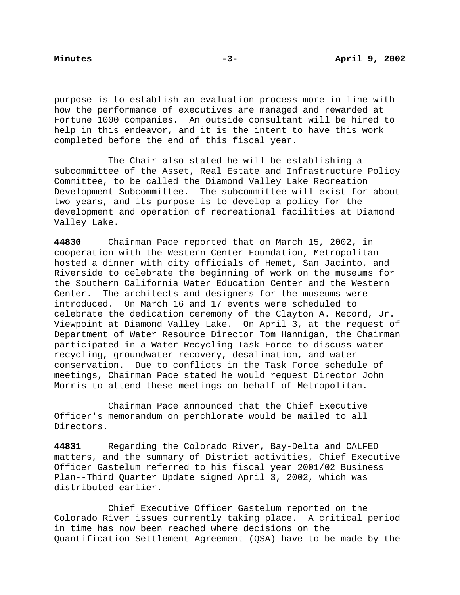purpose is to establish an evaluation process more in line with how the performance of executives are managed and rewarded at Fortune 1000 companies. An outside consultant will be hired to help in this endeavor, and it is the intent to have this work completed before the end of this fiscal year.

The Chair also stated he will be establishing a subcommittee of the Asset, Real Estate and Infrastructure Policy Committee, to be called the Diamond Valley Lake Recreation Development Subcommittee. The subcommittee will exist for about two years, and its purpose is to develop a policy for the development and operation of recreational facilities at Diamond Valley Lake.

**44830** Chairman Pace reported that on March 15, 2002, in cooperation with the Western Center Foundation, Metropolitan hosted a dinner with city officials of Hemet, San Jacinto, and Riverside to celebrate the beginning of work on the museums for the Southern California Water Education Center and the Western Center. The architects and designers for the museums were introduced. On March 16 and 17 events were scheduled to celebrate the dedication ceremony of the Clayton A. Record, Jr. Viewpoint at Diamond Valley Lake. On April 3, at the request of Department of Water Resource Director Tom Hannigan, the Chairman participated in a Water Recycling Task Force to discuss water recycling, groundwater recovery, desalination, and water conservation. Due to conflicts in the Task Force schedule of meetings, Chairman Pace stated he would request Director John Morris to attend these meetings on behalf of Metropolitan.

Chairman Pace announced that the Chief Executive Officer's memorandum on perchlorate would be mailed to all Directors.

**44831** Regarding the Colorado River, Bay-Delta and CALFED matters, and the summary of District activities, Chief Executive Officer Gastelum referred to his fiscal year 2001/02 Business Plan--Third Quarter Update signed April 3, 2002, which was distributed earlier.

Chief Executive Officer Gastelum reported on the Colorado River issues currently taking place. A critical period in time has now been reached where decisions on the Quantification Settlement Agreement (QSA) have to be made by the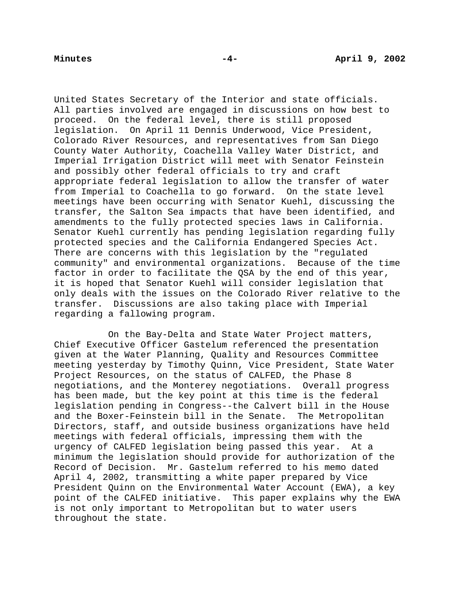United States Secretary of the Interior and state officials. All parties involved are engaged in discussions on how best to proceed. On the federal level, there is still proposed legislation. On April 11 Dennis Underwood, Vice President, Colorado River Resources, and representatives from San Diego County Water Authority, Coachella Valley Water District, and Imperial Irrigation District will meet with Senator Feinstein and possibly other federal officials to try and craft appropriate federal legislation to allow the transfer of water from Imperial to Coachella to go forward. On the state level meetings have been occurring with Senator Kuehl, discussing the transfer, the Salton Sea impacts that have been identified, and amendments to the fully protected species laws in California. Senator Kuehl currently has pending legislation regarding fully protected species and the California Endangered Species Act. There are concerns with this legislation by the "regulated community" and environmental organizations. Because of the time factor in order to facilitate the QSA by the end of this year, it is hoped that Senator Kuehl will consider legislation that only deals with the issues on the Colorado River relative to the transfer. Discussions are also taking place with Imperial regarding a fallowing program.

On the Bay-Delta and State Water Project matters, Chief Executive Officer Gastelum referenced the presentation given at the Water Planning, Quality and Resources Committee meeting yesterday by Timothy Quinn, Vice President, State Water Project Resources, on the status of CALFED, the Phase 8 negotiations, and the Monterey negotiations. Overall progress has been made, but the key point at this time is the federal legislation pending in Congress--the Calvert bill in the House and the Boxer-Feinstein bill in the Senate. The Metropolitan Directors, staff, and outside business organizations have held meetings with federal officials, impressing them with the urgency of CALFED legislation being passed this year. At a minimum the legislation should provide for authorization of the Record of Decision. Mr. Gastelum referred to his memo dated April 4, 2002, transmitting a white paper prepared by Vice President Quinn on the Environmental Water Account (EWA), a key point of the CALFED initiative. This paper explains why the EWA is not only important to Metropolitan but to water users throughout the state.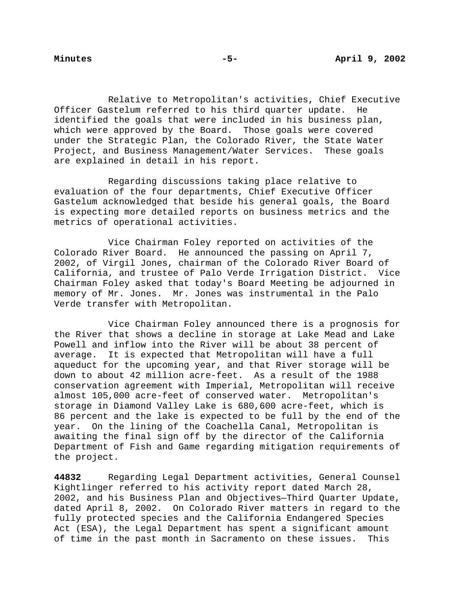Relative to Metropolitan's activities, Chief Executive Officer Gastelum referred to his third quarter update. He identified the goals that were included in his business plan, which were approved by the Board. Those goals were covered under the Strategic Plan, the Colorado River, the State Water Project, and Business Management/Water Services. These goals are explained in detail in his report.

Regarding discussions taking place relative to evaluation of the four departments, Chief Executive Officer Gastelum acknowledged that beside his general goals, the Board is expecting more detailed reports on business metrics and the metrics of operational activities.

Vice Chairman Foley reported on activities of the Colorado River Board. He announced the passing on April 7, 2002, of Virgil Jones, chairman of the Colorado River Board of California, and trustee of Palo Verde Irrigation District. Vice Chairman Foley asked that today's Board Meeting be adjourned in memory of Mr. Jones. Mr. Jones was instrumental in the Palo Verde transfer with Metropolitan.

Vice Chairman Foley announced there is a prognosis for the River that shows a decline in storage at Lake Mead and Lake Powell and inflow into the River will be about 38 percent of average. It is expected that Metropolitan will have a full aqueduct for the upcoming year, and that River storage will be down to about 42 million acre-feet. As a result of the 1988 conservation agreement with Imperial, Metropolitan will receive almost 105,000 acre-feet of conserved water. Metropolitan's storage in Diamond Valley Lake is 680,600 acre-feet, which is 86 percent and the lake is expected to be full by the end of the year. On the lining of the Coachella Canal, Metropolitan is awaiting the final sign off by the director of the California Department of Fish and Game regarding mitigation requirements of the project.

**44832** Regarding Legal Department activities, General Counsel Kightlinger referred to his activity report dated March 28, 2002, and his Business Plan and Objectives—Third Quarter Update, dated April 8, 2002. On Colorado River matters in regard to the fully protected species and the California Endangered Species Act (ESA), the Legal Department has spent a significant amount of time in the past month in Sacramento on these issues. This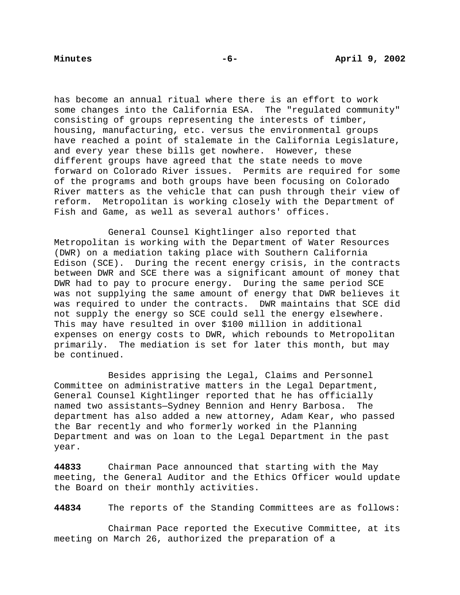has become an annual ritual where there is an effort to work some changes into the California ESA. The "regulated community" consisting of groups representing the interests of timber, housing, manufacturing, etc. versus the environmental groups have reached a point of stalemate in the California Legislature, and every year these bills get nowhere. However, these different groups have agreed that the state needs to move forward on Colorado River issues. Permits are required for some of the programs and both groups have been focusing on Colorado River matters as the vehicle that can push through their view of reform. Metropolitan is working closely with the Department of Fish and Game, as well as several authors' offices.

General Counsel Kightlinger also reported that Metropolitan is working with the Department of Water Resources (DWR) on a mediation taking place with Southern California Edison (SCE). During the recent energy crisis, in the contracts between DWR and SCE there was a significant amount of money that DWR had to pay to procure energy. During the same period SCE was not supplying the same amount of energy that DWR believes it was required to under the contracts. DWR maintains that SCE did not supply the energy so SCE could sell the energy elsewhere. This may have resulted in over \$100 million in additional expenses on energy costs to DWR, which rebounds to Metropolitan primarily. The mediation is set for later this month, but may be continued.

Besides apprising the Legal, Claims and Personnel Committee on administrative matters in the Legal Department, General Counsel Kightlinger reported that he has officially named two assistants—Sydney Bennion and Henry Barbosa. The department has also added a new attorney, Adam Kear, who passed the Bar recently and who formerly worked in the Planning Department and was on loan to the Legal Department in the past year.

**44833** Chairman Pace announced that starting with the May meeting, the General Auditor and the Ethics Officer would update the Board on their monthly activities.

**44834** The reports of the Standing Committees are as follows:

Chairman Pace reported the Executive Committee, at its meeting on March 26, authorized the preparation of a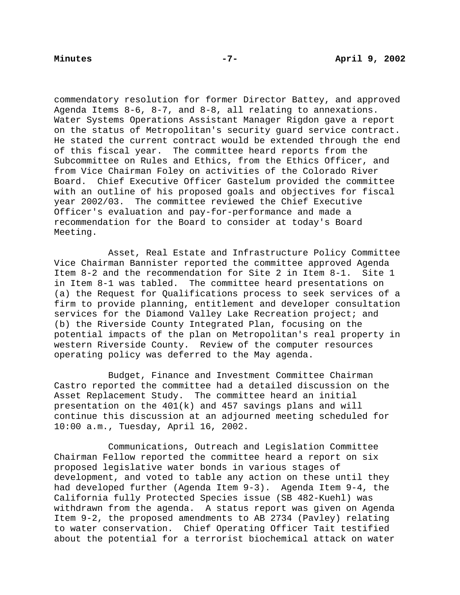commendatory resolution for former Director Battey, and approved Agenda Items 8-6, 8-7, and 8-8, all relating to annexations. Water Systems Operations Assistant Manager Rigdon gave a report on the status of Metropolitan's security guard service contract. He stated the current contract would be extended through the end of this fiscal year. The committee heard reports from the Subcommittee on Rules and Ethics, from the Ethics Officer, and from Vice Chairman Foley on activities of the Colorado River Board. Chief Executive Officer Gastelum provided the committee with an outline of his proposed goals and objectives for fiscal year 2002/03. The committee reviewed the Chief Executive Officer's evaluation and pay-for-performance and made a recommendation for the Board to consider at today's Board Meeting.

Asset, Real Estate and Infrastructure Policy Committee Vice Chairman Bannister reported the committee approved Agenda Item 8-2 and the recommendation for Site 2 in Item 8-1. Site 1 in Item 8-1 was tabled. The committee heard presentations on (a) the Request for Qualifications process to seek services of a firm to provide planning, entitlement and developer consultation services for the Diamond Valley Lake Recreation project; and (b) the Riverside County Integrated Plan, focusing on the potential impacts of the plan on Metropolitan's real property in western Riverside County. Review of the computer resources operating policy was deferred to the May agenda.

Budget, Finance and Investment Committee Chairman Castro reported the committee had a detailed discussion on the Asset Replacement Study. The committee heard an initial presentation on the 401(k) and 457 savings plans and will continue this discussion at an adjourned meeting scheduled for 10:00 a.m., Tuesday, April 16, 2002.

Communications, Outreach and Legislation Committee Chairman Fellow reported the committee heard a report on six proposed legislative water bonds in various stages of development, and voted to table any action on these until they had developed further (Agenda Item 9-3). Agenda Item 9-4, the California fully Protected Species issue (SB 482-Kuehl) was withdrawn from the agenda. A status report was given on Agenda Item 9-2, the proposed amendments to AB 2734 (Pavley) relating to water conservation. Chief Operating Officer Tait testified about the potential for a terrorist biochemical attack on water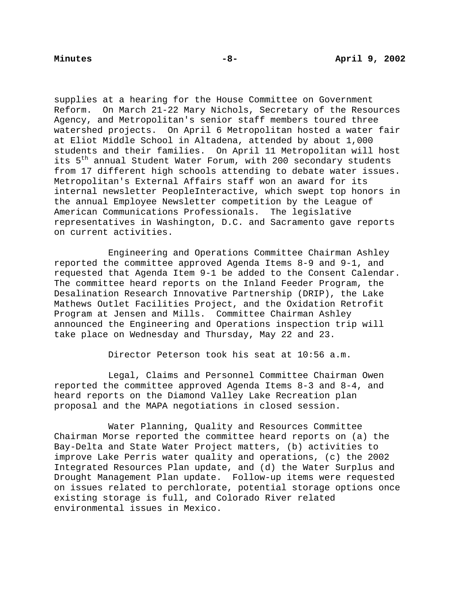supplies at a hearing for the House Committee on Government Reform. On March 21-22 Mary Nichols, Secretary of the Resources Agency, and Metropolitan's senior staff members toured three watershed projects. On April 6 Metropolitan hosted a water fair at Eliot Middle School in Altadena, attended by about 1,000 students and their families. On April 11 Metropolitan will host its 5<sup>th</sup> annual Student Water Forum, with 200 secondary students from 17 different high schools attending to debate water issues. Metropolitan's External Affairs staff won an award for its internal newsletter PeopleInteractive, which swept top honors in the annual Employee Newsletter competition by the League of American Communications Professionals. The legislative representatives in Washington, D.C. and Sacramento gave reports on current activities.

Engineering and Operations Committee Chairman Ashley reported the committee approved Agenda Items 8-9 and 9-1, and requested that Agenda Item 9-1 be added to the Consent Calendar. The committee heard reports on the Inland Feeder Program, the Desalination Research Innovative Partnership (DRIP), the Lake Mathews Outlet Facilities Project, and the Oxidation Retrofit Program at Jensen and Mills. Committee Chairman Ashley announced the Engineering and Operations inspection trip will take place on Wednesday and Thursday, May 22 and 23.

Director Peterson took his seat at 10:56 a.m.

Legal, Claims and Personnel Committee Chairman Owen reported the committee approved Agenda Items 8-3 and 8-4, and heard reports on the Diamond Valley Lake Recreation plan proposal and the MAPA negotiations in closed session.

Water Planning, Quality and Resources Committee Chairman Morse reported the committee heard reports on (a) the Bay-Delta and State Water Project matters, (b) activities to improve Lake Perris water quality and operations, (c) the 2002 Integrated Resources Plan update, and (d) the Water Surplus and Drought Management Plan update. Follow-up items were requested on issues related to perchlorate, potential storage options once existing storage is full, and Colorado River related environmental issues in Mexico.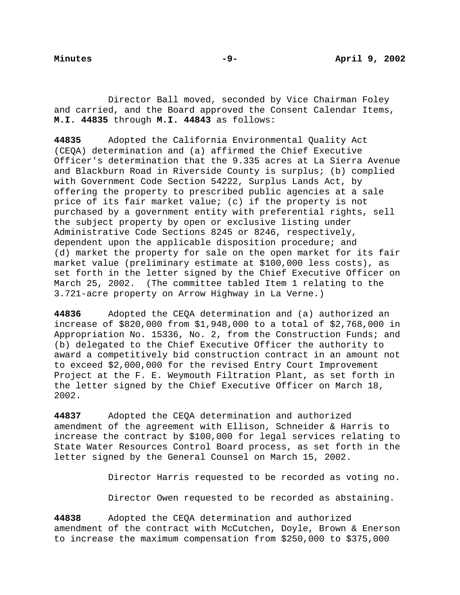Director Ball moved, seconded by Vice Chairman Foley and carried, and the Board approved the Consent Calendar Items, **M.I. 44835** through **M.I. 44843** as follows:

**44835** Adopted the California Environmental Quality Act (CEQA) determination and (a) affirmed the Chief Executive Officer's determination that the 9.335 acres at La Sierra Avenue and Blackburn Road in Riverside County is surplus; (b) complied with Government Code Section 54222, Surplus Lands Act, by offering the property to prescribed public agencies at a sale price of its fair market value; (c) if the property is not purchased by a government entity with preferential rights, sell the subject property by open or exclusive listing under Administrative Code Sections 8245 or 8246, respectively, dependent upon the applicable disposition procedure; and (d) market the property for sale on the open market for its fair market value (preliminary estimate at \$100,000 less costs), as set forth in the letter signed by the Chief Executive Officer on March 25, 2002. (The committee tabled Item 1 relating to the 3.721-acre property on Arrow Highway in La Verne.)

**44836** Adopted the CEQA determination and (a) authorized an increase of \$820,000 from \$1,948,000 to a total of \$2,768,000 in Appropriation No. 15336, No. 2, from the Construction Funds; and (b) delegated to the Chief Executive Officer the authority to award a competitively bid construction contract in an amount not to exceed \$2,000,000 for the revised Entry Court Improvement Project at the F. E. Weymouth Filtration Plant, as set forth in the letter signed by the Chief Executive Officer on March 18, 2002.

**44837** Adopted the CEQA determination and authorized amendment of the agreement with Ellison, Schneider & Harris to increase the contract by \$100,000 for legal services relating to State Water Resources Control Board process, as set forth in the letter signed by the General Counsel on March 15, 2002.

Director Harris requested to be recorded as voting no.

Director Owen requested to be recorded as abstaining.

**44838** Adopted the CEQA determination and authorized amendment of the contract with McCutchen, Doyle, Brown & Enerson to increase the maximum compensation from \$250,000 to \$375,000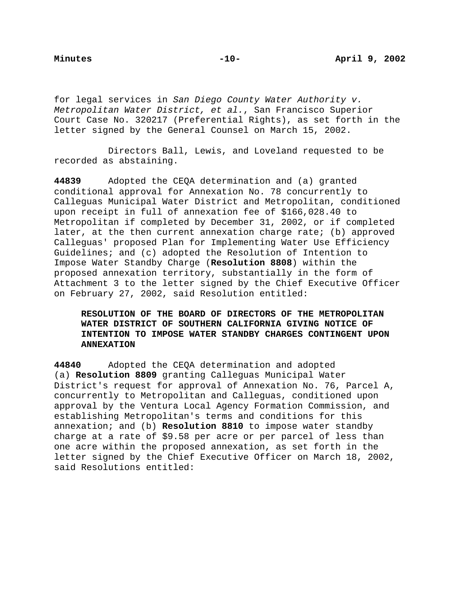for legal services in San Diego County Water Authority v. Metropolitan Water District, et al., San Francisco Superior Court Case No. 320217 (Preferential Rights), as set forth in the letter signed by the General Counsel on March 15, 2002.

Directors Ball, Lewis, and Loveland requested to be recorded as abstaining.

**44839** Adopted the CEQA determination and (a) granted conditional approval for Annexation No. 78 concurrently to Calleguas Municipal Water District and Metropolitan, conditioned upon receipt in full of annexation fee of \$166,028.40 to Metropolitan if completed by December 31, 2002, or if completed later, at the then current annexation charge rate; (b) approved Calleguas' proposed Plan for Implementing Water Use Efficiency Guidelines; and (c) adopted the Resolution of Intention to Impose Water Standby Charge (**Resolution 8808**) within the proposed annexation territory, substantially in the form of Attachment 3 to the letter signed by the Chief Executive Officer on February 27, 2002, said Resolution entitled:

# **RESOLUTION OF THE BOARD OF DIRECTORS OF THE METROPOLITAN WATER DISTRICT OF SOUTHERN CALIFORNIA GIVING NOTICE OF INTENTION TO IMPOSE WATER STANDBY CHARGES CONTINGENT UPON ANNEXATION**

**44840** Adopted the CEQA determination and adopted (a) **Resolution 8809** granting Calleguas Municipal Water District's request for approval of Annexation No. 76, Parcel A, concurrently to Metropolitan and Calleguas, conditioned upon approval by the Ventura Local Agency Formation Commission, and establishing Metropolitan's terms and conditions for this annexation; and (b) **Resolution 8810** to impose water standby charge at a rate of \$9.58 per acre or per parcel of less than one acre within the proposed annexation, as set forth in the letter signed by the Chief Executive Officer on March 18, 2002, said Resolutions entitled: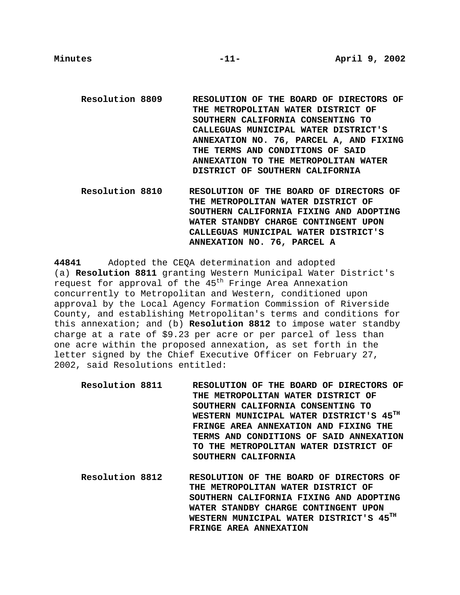**Resolution 8809 RESOLUTION OF THE BOARD OF DIRECTORS OF THE METROPOLITAN WATER DISTRICT OF SOUTHERN CALIFORNIA CONSENTING TO CALLEGUAS MUNICIPAL WATER DISTRICT'S ANNEXATION NO. 76, PARCEL A, AND FIXING THE TERMS AND CONDITIONS OF SAID ANNEXATION TO THE METROPOLITAN WATER DISTRICT OF SOUTHERN CALIFORNIA**

**Resolution 8810 RESOLUTION OF THE BOARD OF DIRECTORS OF THE METROPOLITAN WATER DISTRICT OF SOUTHERN CALIFORNIA FIXING AND ADOPTING WATER STANDBY CHARGE CONTINGENT UPON CALLEGUAS MUNICIPAL WATER DISTRICT'S ANNEXATION NO. 76, PARCEL A**

**44841** Adopted the CEQA determination and adopted (a) **Resolution 8811** granting Western Municipal Water District's request for approval of the 45<sup>th</sup> Fringe Area Annexation concurrently to Metropolitan and Western, conditioned upon approval by the Local Agency Formation Commission of Riverside County, and establishing Metropolitan's terms and conditions for this annexation; and (b) **Resolution 8812** to impose water standby charge at a rate of \$9.23 per acre or per parcel of less than one acre within the proposed annexation, as set forth in the letter signed by the Chief Executive Officer on February 27, 2002, said Resolutions entitled:

- **Resolution 8811 RESOLUTION OF THE BOARD OF DIRECTORS OF THE METROPOLITAN WATER DISTRICT OF SOUTHERN CALIFORNIA CONSENTING TO WESTERN MUNICIPAL WATER DISTRICT'S 45TH FRINGE AREA ANNEXATION AND FIXING THE TERMS AND CONDITIONS OF SAID ANNEXATION TO THE METROPOLITAN WATER DISTRICT OF SOUTHERN CALIFORNIA**
- **Resolution 8812 RESOLUTION OF THE BOARD OF DIRECTORS OF THE METROPOLITAN WATER DISTRICT OF SOUTHERN CALIFORNIA FIXING AND ADOPTING WATER STANDBY CHARGE CONTINGENT UPON WESTERN MUNICIPAL WATER DISTRICT'S 45TH FRINGE AREA ANNEXATION**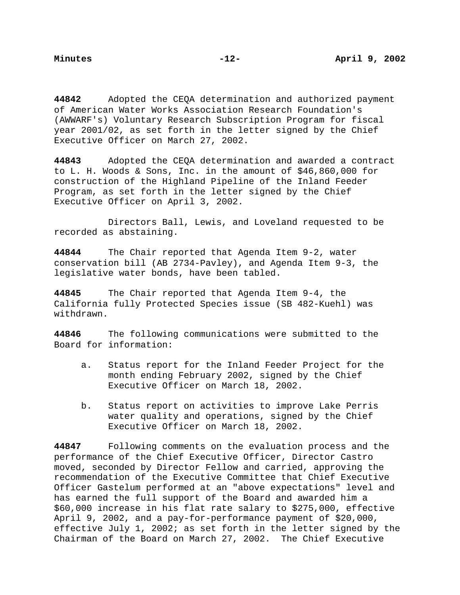**44842** Adopted the CEQA determination and authorized payment of American Water Works Association Research Foundation's (AWWARF's) Voluntary Research Subscription Program for fiscal year 2001/02, as set forth in the letter signed by the Chief Executive Officer on March 27, 2002.

**44843** Adopted the CEQA determination and awarded a contract to L. H. Woods & Sons, Inc. in the amount of \$46,860,000 for construction of the Highland Pipeline of the Inland Feeder Program, as set forth in the letter signed by the Chief Executive Officer on April 3, 2002.

Directors Ball, Lewis, and Loveland requested to be recorded as abstaining.

**44844** The Chair reported that Agenda Item 9-2, water conservation bill (AB 2734-Pavley), and Agenda Item 9-3, the legislative water bonds, have been tabled.

**44845** The Chair reported that Agenda Item 9-4, the California fully Protected Species issue (SB 482-Kuehl) was withdrawn.

**44846** The following communications were submitted to the Board for information:

- a. Status report for the Inland Feeder Project for the month ending February 2002, signed by the Chief Executive Officer on March 18, 2002.
- b. Status report on activities to improve Lake Perris water quality and operations, signed by the Chief Executive Officer on March 18, 2002.

**44847** Following comments on the evaluation process and the performance of the Chief Executive Officer, Director Castro moved, seconded by Director Fellow and carried, approving the recommendation of the Executive Committee that Chief Executive Officer Gastelum performed at an "above expectations" level and has earned the full support of the Board and awarded him a \$60,000 increase in his flat rate salary to \$275,000, effective April 9, 2002, and a pay-for-performance payment of \$20,000, effective July 1, 2002; as set forth in the letter signed by the Chairman of the Board on March 27, 2002. The Chief Executive